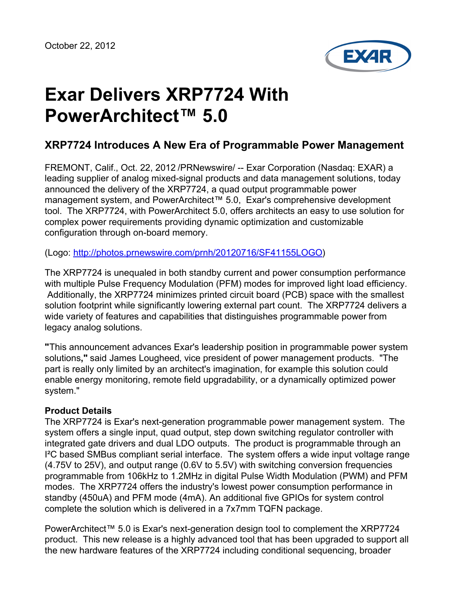

# **Exar Delivers XRP7724 With PowerArchitect™ 5.0**

## **XRP7724 Introduces A New Era of Programmable Power Management**

FREMONT, Calif., Oct. 22, 2012 /PRNewswire/ -- Exar Corporation (Nasdaq: EXAR) a leading supplier of analog mixed-signal products and data management solutions, today announced the delivery of the XRP7724, a quad output programmable power management system, and PowerArchitect™ 5.0, Exar's comprehensive development tool. The XRP7724, with PowerArchitect 5.0, offers architects an easy to use solution for complex power requirements providing dynamic optimization and customizable configuration through on-board memory.

(Logo: <http://photos.prnewswire.com/prnh/20120716/SF41155LOGO>)

The XRP7724 is unequaled in both standby current and power consumption performance with multiple Pulse Frequency Modulation (PFM) modes for improved light load efficiency. Additionally, the XRP7724 minimizes printed circuit board (PCB) space with the smallest solution footprint while significantly lowering external part count. The XRP7724 delivers a wide variety of features and capabilities that distinguishes programmable power from legacy analog solutions.

**"**This announcement advances Exar's leadership position in programmable power system solutions**,"** said James Lougheed, vice president of power management products. "The part is really only limited by an architect's imagination, for example this solution could enable energy monitoring, remote field upgradability, or a dynamically optimized power system."

#### **Product Details**

The XRP7724 is Exar's next-generation programmable power management system. The system offers a single input, quad output, step down switching regulator controller with integrated gate drivers and dual LDO outputs. The product is programmable through an I²C based SMBus compliant serial interface. The system offers a wide input voltage range (4.75V to 25V), and output range (0.6V to 5.5V) with switching conversion frequencies programmable from 106kHz to 1.2MHz in digital Pulse Width Modulation (PWM) and PFM modes. The XRP7724 offers the industry's lowest power consumption performance in standby (450uA) and PFM mode (4mA). An additional five GPIOs for system control complete the solution which is delivered in a 7x7mm TQFN package.

PowerArchitect™ 5.0 is Exar's next-generation design tool to complement the XRP7724 product. This new release is a highly advanced tool that has been upgraded to support all the new hardware features of the XRP7724 including conditional sequencing, broader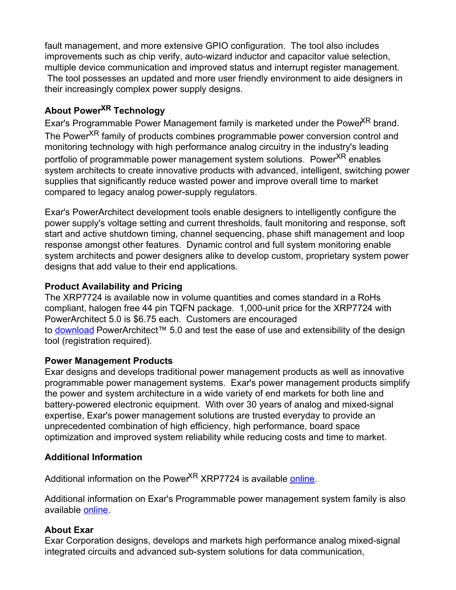fault management, and more extensive GPIO configuration. The tool also includes improvements such as chip verify, auto-wizard inductor and capacitor value selection, multiple device communication and improved status and interrupt register management.

The tool possesses an updated and more user friendly environment to aide designers in their increasingly complex power supply designs.

## **About Power XR Technology**

Exar's Programmable Power Management family is marketed under the Power<sup>XR</sup> brand. The Power<sup>XR</sup> family of products combines programmable power conversion control and monitoring technology with high performance analog circuitry in the industry's leading portfolio of programmable power management system solutions. Power<sup>XR</sup> enables system architects to create innovative products with advanced, intelligent, switching power supplies that significantly reduce wasted power and improve overall time to market compared to legacy analog power-supply regulators.

Exar's PowerArchitect development tools enable designers to intelligently configure the power supply's voltage setting and current thresholds, fault monitoring and response, soft start and active shutdown timing, channel sequencing, phase shift management and loop response amongst other features. Dynamic control and full system monitoring enable system architects and power designers alike to develop custom, proprietary system power designs that add value to their end applications.

### **Product Availability and Pricing**

The XRP7724 is available now in volume quantities and comes standard in a RoHs compliant, halogen free 44 pin TQFN package. 1,000-unit price for the XRP7724 with PowerArchitect 5.0 is \$6.75 each. Customers are encouraged to [download](http://powerxr.exar.com/) PowerArchitect™ 5.0 and test the ease of use and extensibility of the design tool (registration required).

### **Power Management Products**

Exar designs and develops traditional power management products as well as innovative programmable power management systems. Exar's power management products simplify the power and system architecture in a wide variety of end markets for both line and battery-powered electronic equipment. With over 30 years of analog and mixed-signal expertise, Exar's power management solutions are trusted everyday to provide an unprecedented combination of high efficiency, high performance, board space optimization and improved system reliability while reducing costs and time to market.

### **Additional Information**

Additional information on the Power<sup>XR</sup> XRP7724 is available <u>[online](http://www.exar.com/power-management/power-conversion/programmable-power/xrp7724)</u>.

Additional information on Exar's Programmable power management system family is also available [online](http://www.exar.com/power-management/programmable-power/).

### **About Exar**

Exar Corporation designs, develops and markets high performance analog mixed-signal integrated circuits and advanced sub-system solutions for data communication,